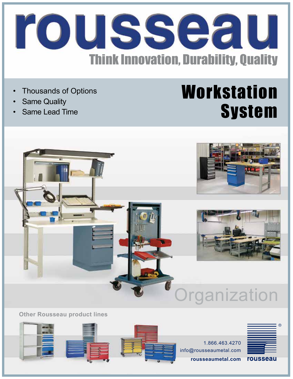

- Thousands of Options
- **Same Quality**
- Same Lead Time

## **Workstation System**



**Other Rousseau product lines**

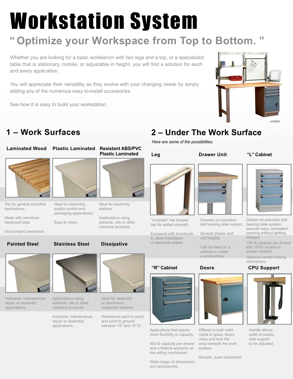# Workstation System

## **Optimize your Workspace from Top to Bottom. "**

Whether you are looking for a basic workbench with two legs and a top, or a specialized table that is stationary, mobile, or adjustable in height, you will find a solution for each and every application.

You will appreciate their versatility as they evolve with your changing needs by simply adding any of the numerous easy-to-install accessories.

See how it is easy to build your workstation.



## **1 – Work Surfaces 2 – Under The Work Surface**

#### **Laminated Wood Plastic Laminated Resistant ABS/PVC**



Top for general industrial applications.

Made with varnished hardwood slats.

Good impact resistance.

**Painted Steel**

Industrial, maintenance, repair or assembly applications.



Ideal for assembly, quality control and packaging applications.

## **Drawer Unit Plastic Laminated ''L'' Cabinet**



Ideal for assembly stations.

Applications using chemical products.



''Inversed" hat shaped top for added strength.

Equipped with knockouts to allow installation of electrical outlets.





Applications that require more flexibility or capacity.

400 lb capacity per drawer and a lifetime warranty on the rolling mechanism.

Wide-range of dimensions and accessories.



ball bearing slide system.

unit heights. Can be fixed on a cabinet or under

Several drawer and

a worksurface.

#### **Doors**



Offered in both solid metal or glass, doors close and lock the area beneath the work surface.



Drawer on precision ball bearing slide system assures easy, consistent opening without getting wedged.

100 lb capacity per drawer and 100% access to drawer content.

Optional central locking mechanism.

#### **CPU Support**



Handle allows width of plastic side support to be adjusted.

Smooth, quiet movement.



Applications using solvents, oils or other chemical products.

Industrial, maintenance, repair or assembly applications.



Resistance point to point and point to ground between 10 $\textdegree$  and 10 $\textdegree$  Ω.

# Easy to clean.<br>Easy to clean. Solvents, oils or other the precision of the solvents, oils or other the precision



*Here are some of the possibilities.*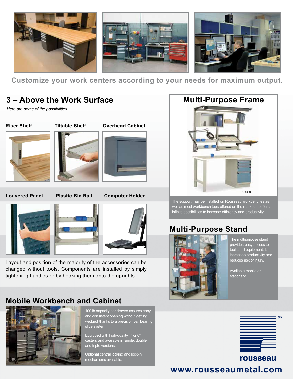

**Customize your work centers according to your needs for maximum output.**

## **3 – Above the Work Surface**

*Here are some of the possibilities.*

**Riser Shelf**



#### **Overhead Cabinet**



#### **Louvered Panel**

**Plastic Bin Rail Computer Holder**







Layout and position of the majority of the accessories can be changed without tools. Components are installed by simply tightening handles or by hooking them onto the uprights.

#### **Mobile Workbench and Cabinet**



100 lb capacity per drawer assures easy and consistent opening without getting wedged thanks to a precision ball bearing slide system.

Equipped with high-quality 4" or 6" casters and available in single, double and triple versions.

Optional central locking and lock-in mechanisms available.



The support may be installed on Rousseau workbenches as well as most workbench tops offered on the market. It offers infinite possibilities to increase efficiency and productivity.

## **Multi-Purpose Stand**



The multipurpose stand provides easy access to tools and equipment. It increases productivity and reduces risk of injury.

Available mobile or stationary.



### **www.rousseaumetal.com**